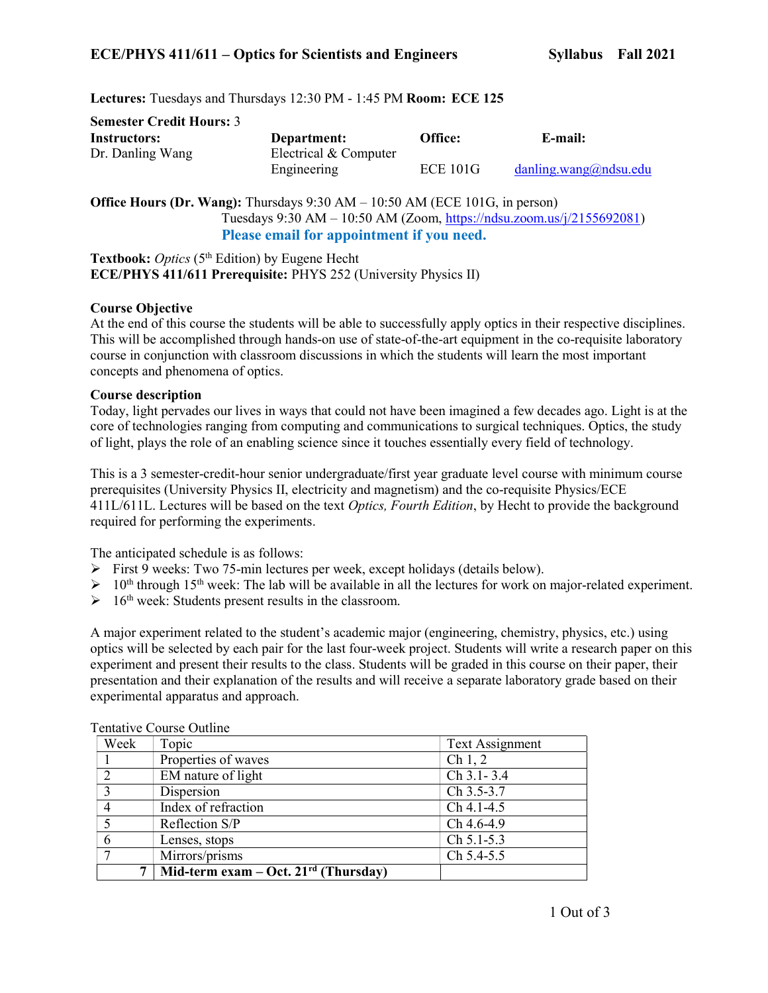Lectures: Tuesdays and Thursdays 12:30 PM - 1:45 PM Room: ECE 125

| <b>Semester Credit Hours: 3</b> |                       |                 |                       |
|---------------------------------|-----------------------|-----------------|-----------------------|
| Instructors:                    | Department:           | Office:         | E-mail:               |
| Dr. Danling Wang                | Electrical & Computer |                 |                       |
|                                 | Engineering           | <b>ECE 101G</b> | danning.wang@ndsu.edu |

Office Hours (Dr. Wang): Thursdays 9:30 AM – 10:50 AM (ECE 101G, in person) Tuesdays 9:30 AM – 10:50 AM (Zoom, https://ndsu.zoom.us/j/2155692081) Please email for appointment if you need.

Textbook: Optics (5<sup>th</sup> Edition) by Eugene Hecht ECE/PHYS 411/611 Prerequisite: PHYS 252 (University Physics II)

# Course Objective

At the end of this course the students will be able to successfully apply optics in their respective disciplines. This will be accomplished through hands-on use of state-of-the-art equipment in the co-requisite laboratory course in conjunction with classroom discussions in which the students will learn the most important concepts and phenomena of optics.

### Course description

Today, light pervades our lives in ways that could not have been imagined a few decades ago. Light is at the core of technologies ranging from computing and communications to surgical techniques. Optics, the study of light, plays the role of an enabling science since it touches essentially every field of technology.

This is a 3 semester-credit-hour senior undergraduate/first year graduate level course with minimum course prerequisites (University Physics II, electricity and magnetism) and the co-requisite Physics/ECE 411L/611L. Lectures will be based on the text *Optics, Fourth Edition*, by Hecht to provide the background required for performing the experiments.

The anticipated schedule is as follows:

- $\triangleright$  First 9 weeks: Two 75-min lectures per week, except holidays (details below).
- $\geq 10^{th}$  through 15<sup>th</sup> week: The lab will be available in all the lectures for work on major-related experiment.
- $\geq 16$ <sup>th</sup> week: Students present results in the classroom.

A major experiment related to the student's academic major (engineering, chemistry, physics, etc.) using optics will be selected by each pair for the last four-week project. Students will write a research paper on this experiment and present their results to the class. Students will be graded in this course on their paper, their presentation and their explanation of the results and will receive a separate laboratory grade based on their experimental apparatus and approach.

| Week          | Topic                                  | Text Assignment     |
|---------------|----------------------------------------|---------------------|
|               | Properties of waves                    | Ch <sub>1</sub> , 2 |
| $\mathcal{D}$ | EM nature of light                     | $Ch$ 3.1 - 3.4      |
| $\mathbf{3}$  | Dispersion                             | Ch 3.5-3.7          |
|               | Index of refraction                    | $Ch 4.1 - 4.5$      |
|               | Reflection S/P                         | Ch 4.6-4.9          |
|               | Lenses, stops                          | Ch 5.1-5.3          |
|               | Mirrors/prisms                         | Ch 5.4-5.5          |
|               | Mid-term exam – Oct. $21rd$ (Thursday) |                     |

Tentative Course Outline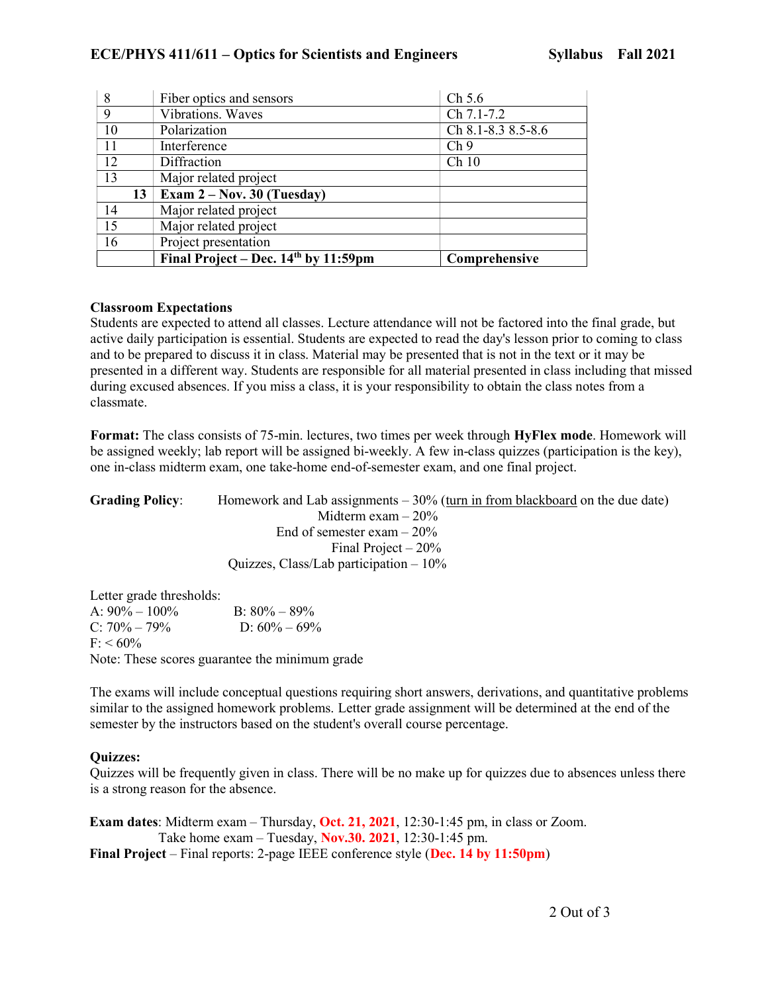| 8  | Fiber optics and sensors               | Ch 5.6             |
|----|----------------------------------------|--------------------|
| 9  | Vibrations. Waves                      | Ch 7.1-7.2         |
| 10 | Polarization                           | Ch 8.1-8.3 8.5-8.6 |
| 11 | Interference                           | Ch <sub>9</sub>    |
| 12 | Diffraction                            | Ch10               |
| 13 | Major related project                  |                    |
| 13 | Exam $2 - Nov. 30$ (Tuesday)           |                    |
| 14 | Major related project                  |                    |
| 15 | Major related project                  |                    |
| 16 | Project presentation                   |                    |
|    | Final Project – Dec. $14th$ by 11:59pm | Comprehensive      |

# Classroom Expectations

Students are expected to attend all classes. Lecture attendance will not be factored into the final grade, but active daily participation is essential. Students are expected to read the day's lesson prior to coming to class and to be prepared to discuss it in class. Material may be presented that is not in the text or it may be presented in a different way. Students are responsible for all material presented in class including that missed during excused absences. If you miss a class, it is your responsibility to obtain the class notes from a classmate.

Format: The class consists of 75-min. lectures, two times per week through HyFlex mode. Homework will be assigned weekly; lab report will be assigned bi-weekly. A few in-class quizzes (participation is the key), one in-class midterm exam, one take-home end-of-semester exam, and one final project.

| <b>Grading Policy:</b> | Homework and Lab assignments $-30\%$ (turn in from blackboard on the due date) |
|------------------------|--------------------------------------------------------------------------------|
|                        | Midterm exam $-20\%$                                                           |
|                        | End of semester exam $-20\%$                                                   |
|                        | Final Project $-20\%$                                                          |
|                        | Quizzes, Class/Lab participation $-10\%$                                       |

Letter grade thresholds: A:  $90\% - 100\%$  B:  $80\% - 89\%$ C:  $70\% - 79\%$  D:  $60\% - 69\%$  $F: < 60\%$ Note: These scores guarantee the minimum grade

The exams will include conceptual questions requiring short answers, derivations, and quantitative problems similar to the assigned homework problems. Letter grade assignment will be determined at the end of the semester by the instructors based on the student's overall course percentage.

# Quizzes:

Quizzes will be frequently given in class. There will be no make up for quizzes due to absences unless there is a strong reason for the absence.

**Exam dates:** Midterm exam – Thursday, **Oct. 21, 2021**, 12:30-1:45 pm, in class or Zoom. Take home exam – Tuesday, Nov.30. 2021, 12:30-1:45 pm. Final Project – Final reports: 2-page IEEE conference style (Dec. 14 by 11:50pm)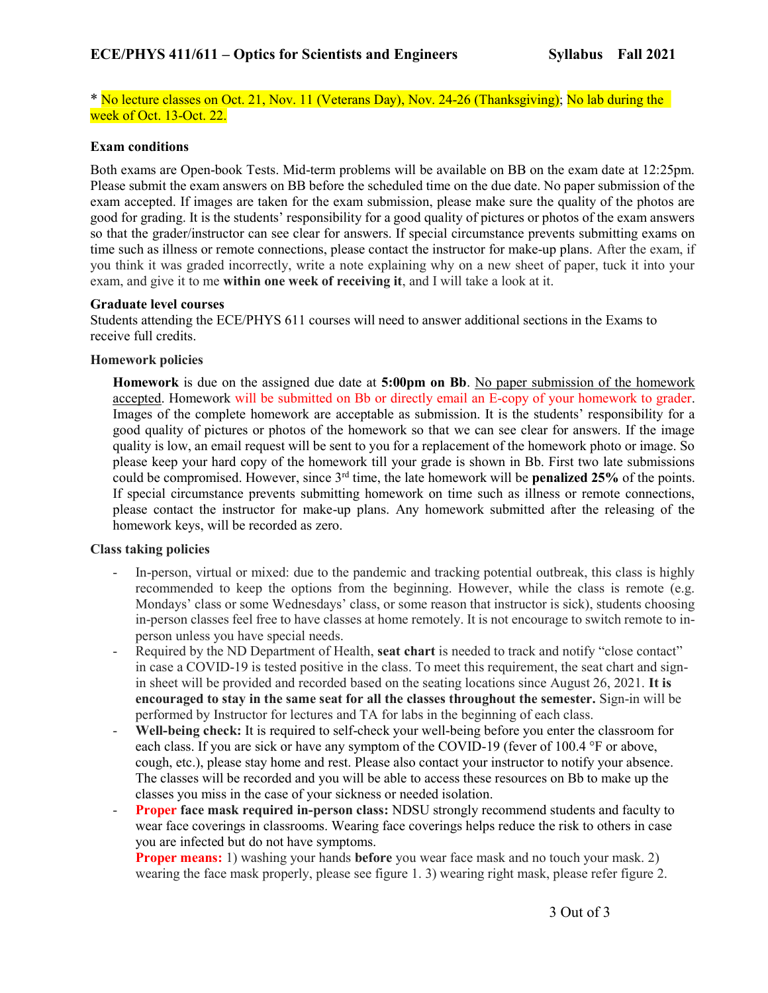\* No lecture classes on Oct. 21, Nov. 11 (Veterans Day), Nov. 24-26 (Thanksgiving); No lab during the week of Oct. 13-Oct. 22.

### Exam conditions

Both exams are Open-book Tests. Mid-term problems will be available on BB on the exam date at 12:25pm. Please submit the exam answers on BB before the scheduled time on the due date. No paper submission of the exam accepted. If images are taken for the exam submission, please make sure the quality of the photos are good for grading. It is the students' responsibility for a good quality of pictures or photos of the exam answers so that the grader/instructor can see clear for answers. If special circumstance prevents submitting exams on time such as illness or remote connections, please contact the instructor for make-up plans. After the exam, if you think it was graded incorrectly, write a note explaining why on a new sheet of paper, tuck it into your exam, and give it to me within one week of receiving it, and I will take a look at it.

#### Graduate level courses

Students attending the ECE/PHYS 611 courses will need to answer additional sections in the Exams to receive full credits.

#### Homework policies

Homework is due on the assigned due date at 5:00pm on Bb. No paper submission of the homework accepted. Homework will be submitted on Bb or directly email an E-copy of your homework to grader. Images of the complete homework are acceptable as submission. It is the students' responsibility for a good quality of pictures or photos of the homework so that we can see clear for answers. If the image quality is low, an email request will be sent to you for a replacement of the homework photo or image. So please keep your hard copy of the homework till your grade is shown in Bb. First two late submissions could be compromised. However, since  $3<sup>rd</sup>$  time, the late homework will be **penalized 25%** of the points. If special circumstance prevents submitting homework on time such as illness or remote connections, please contact the instructor for make-up plans. Any homework submitted after the releasing of the homework keys, will be recorded as zero.

### Class taking policies

- In-person, virtual or mixed: due to the pandemic and tracking potential outbreak, this class is highly recommended to keep the options from the beginning. However, while the class is remote (e.g. Mondays' class or some Wednesdays' class, or some reason that instructor is sick), students choosing in-person classes feel free to have classes at home remotely. It is not encourage to switch remote to inperson unless you have special needs.
- Required by the ND Department of Health, seat chart is needed to track and notify "close contact" in case a COVID-19 is tested positive in the class. To meet this requirement, the seat chart and signin sheet will be provided and recorded based on the seating locations since August 26, 2021. It is encouraged to stay in the same seat for all the classes throughout the semester. Sign-in will be performed by Instructor for lectures and TA for labs in the beginning of each class.
- Well-being check: It is required to self-check your well-being before you enter the classroom for each class. If you are sick or have any symptom of the COVID-19 (fever of 100.4 °F or above, cough, etc.), please stay home and rest. Please also contact your instructor to notify your absence. The classes will be recorded and you will be able to access these resources on Bb to make up the classes you miss in the case of your sickness or needed isolation.
- **Proper face mask required in-person class: NDSU strongly recommend students and faculty to** wear face coverings in classrooms. Wearing face coverings helps reduce the risk to others in case you are infected but do not have symptoms.

**Proper means:** 1) washing your hands **before** you wear face mask and no touch your mask. 2) wearing the face mask properly, please see figure 1. 3) wearing right mask, please refer figure 2.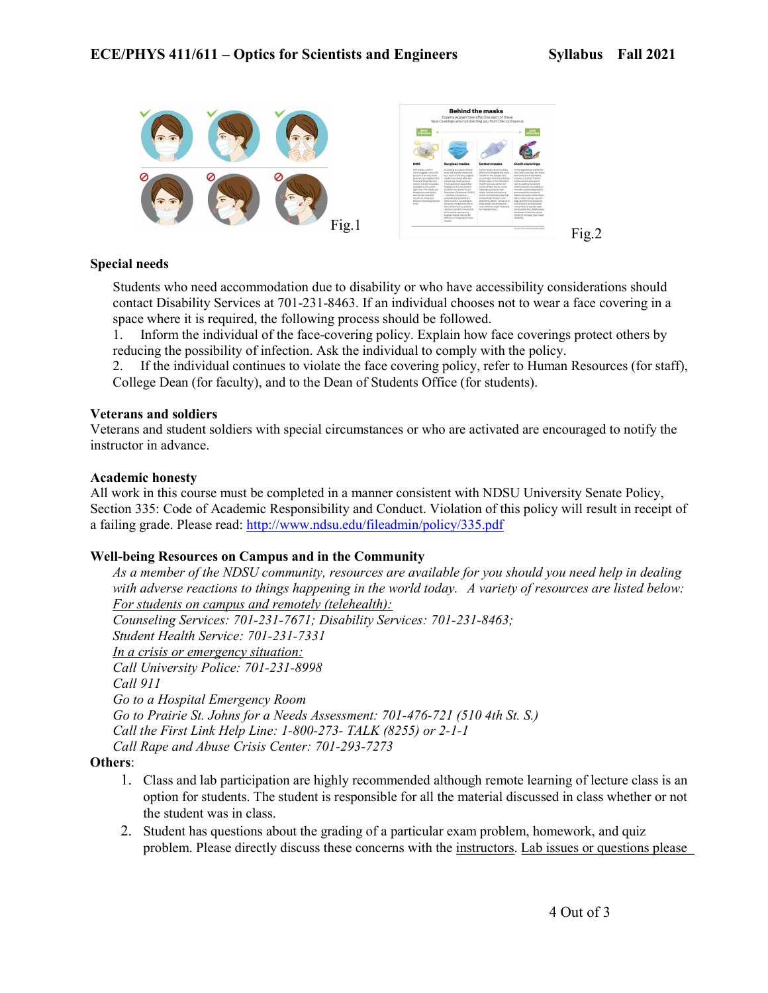

### Special needs

Students who need accommodation due to disability or who have accessibility considerations should contact Disability Services at 701-231-8463. If an individual chooses not to wear a face covering in a space where it is required, the following process should be followed.

1. Inform the individual of the face-covering policy. Explain how face coverings protect others by reducing the possibility of infection. Ask the individual to comply with the policy.

2. If the individual continues to violate the face covering policy, refer to Human Resources (for staff), College Dean (for faculty), and to the Dean of Students Office (for students).

#### Veterans and soldiers

Veterans and student soldiers with special circumstances or who are activated are encouraged to notify the instructor in advance.

#### Academic honesty

All work in this course must be completed in a manner consistent with NDSU University Senate Policy, Section 335: Code of Academic Responsibility and Conduct. Violation of this policy will result in receipt of a failing grade. Please read: http://www.ndsu.edu/fileadmin/policy/335.pdf

### Well-being Resources on Campus and in the Community

As a member of the NDSU community, resources are available for you should you need help in dealing with adverse reactions to things happening in the world today. A variety of resources are listed below: For students on campus and remotely (telehealth): Counseling Services: 701-231-7671; Disability Services: 701-231-8463; Student Health Service: 701-231-7331 In a crisis or emergency situation: Call University Police: 701-231-8998 Call 911 Go to a Hospital Emergency Room Go to Prairie St. Johns for a Needs Assessment: 701-476-721 (510 4th St. S.) Call the First Link Help Line: 1-800-273- TALK (8255) or 2-1-1 Call Rape and Abuse Crisis Center: 701-293-7273

#### Others:

- 1. Class and lab participation are highly recommended although remote learning of lecture class is an option for students. The student is responsible for all the material discussed in class whether or not the student was in class.
- 2. Student has questions about the grading of a particular exam problem, homework, and quiz problem. Please directly discuss these concerns with the instructors. Lab issues or questions please